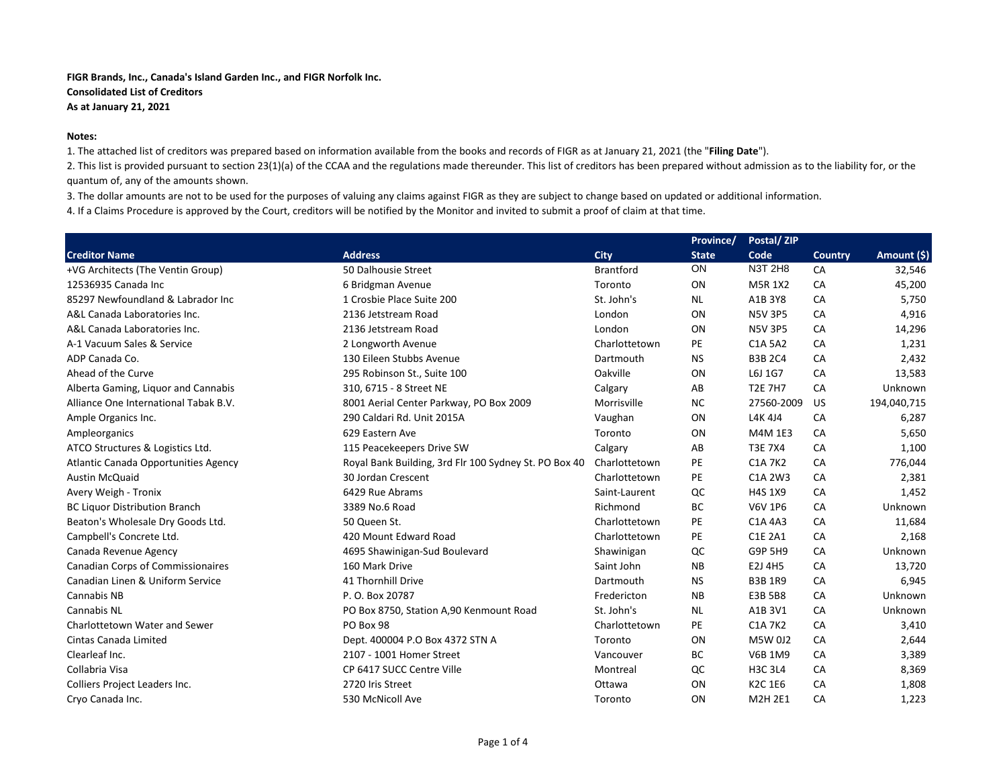## **Notes:**

1. The attached list of creditors was prepared based on information available from the books and records of FIGR as at January 21, 2021 (the "**Filing Date**").

2. This list is provided pursuant to section 23(1)(a) of the CCAA and the regulations made thereunder. This list of creditors has been prepared without admission as to the liability for, or the quantum of, any of the amounts shown.

3. The dollar amounts are not to be used for the purposes of valuing any claims against FIGR as they are subject to change based on updated or additional information.

|                                          |                                                       |                  | Province/    | Postal/ZIP     |                |             |
|------------------------------------------|-------------------------------------------------------|------------------|--------------|----------------|----------------|-------------|
| <b>Creditor Name</b>                     | <b>Address</b>                                        | <b>City</b>      | <b>State</b> | Code           | <b>Country</b> | Amount (\$) |
| +VG Architects (The Ventin Group)        | 50 Dalhousie Street                                   | <b>Brantford</b> | ON           | N3T 2H8        | CA             | 32,546      |
| 12536935 Canada Inc                      | 6 Bridgman Avenue                                     | Toronto          | <b>ON</b>    | M5R 1X2        | CA             | 45,200      |
| 85297 Newfoundland & Labrador Inc        | 1 Crosbie Place Suite 200                             | St. John's       | <b>NL</b>    | A1B 3Y8        | CA             | 5,750       |
| A&L Canada Laboratories Inc.             | 2136 Jetstream Road                                   | London           | ON           | <b>N5V 3P5</b> | CA             | 4,916       |
| A&L Canada Laboratories Inc.             | 2136 Jetstream Road                                   | London           | ON           | <b>N5V 3P5</b> | CA             | 14,296      |
| A-1 Vacuum Sales & Service               | 2 Longworth Avenue                                    | Charlottetown    | PE           | C1A 5A2        | CA             | 1,231       |
| ADP Canada Co.                           | 130 Eileen Stubbs Avenue                              | Dartmouth        | <b>NS</b>    | <b>B3B 2C4</b> | CA             | 2,432       |
| Ahead of the Curve                       | 295 Robinson St., Suite 100                           | Oakville         | ON           | L6J 1G7        | CA             | 13,583      |
| Alberta Gaming, Liquor and Cannabis      | 310, 6715 - 8 Street NE                               | Calgary          | AB           | <b>T2E 7H7</b> | CA             | Unknown     |
| Alliance One International Tabak B.V.    | 8001 Aerial Center Parkway, PO Box 2009               | Morrisville      | <b>NC</b>    | 27560-2009     | <b>US</b>      | 194,040,715 |
| Ample Organics Inc.                      | 290 Caldari Rd. Unit 2015A                            | Vaughan          | ON           | L4K 4J4        | CA             | 6,287       |
| Ampleorganics                            | 629 Eastern Ave                                       | Toronto          | ON           | M4M 1E3        | CA             | 5,650       |
| ATCO Structures & Logistics Ltd.         | 115 Peacekeepers Drive SW                             | Calgary          | AB           | <b>T3E 7X4</b> | CA             | 1,100       |
| Atlantic Canada Opportunities Agency     | Royal Bank Building, 3rd Flr 100 Sydney St. PO Box 40 | Charlottetown    | PE           | <b>C1A 7K2</b> | CA             | 776,044     |
| <b>Austin McQuaid</b>                    | 30 Jordan Crescent                                    | Charlottetown    | PE           | C1A 2W3        | CA             | 2,381       |
| Avery Weigh - Tronix                     | 6429 Rue Abrams                                       | Saint-Laurent    | QC           | <b>H4S 1X9</b> | CA             | 1,452       |
| <b>BC Liquor Distribution Branch</b>     | 3389 No.6 Road                                        | Richmond         | <b>BC</b>    | <b>V6V 1P6</b> | CA             | Unknown     |
| Beaton's Wholesale Dry Goods Ltd.        | 50 Queen St.                                          | Charlottetown    | PE           | C1A 4A3        | CA             | 11,684      |
| Campbell's Concrete Ltd.                 | 420 Mount Edward Road                                 | Charlottetown    | PE           | C1E 2A1        | CA             | 2,168       |
| Canada Revenue Agency                    | 4695 Shawinigan-Sud Boulevard                         | Shawinigan       | QC           | <b>G9P 5H9</b> | CA             | Unknown     |
| <b>Canadian Corps of Commissionaires</b> | 160 Mark Drive                                        | Saint John       | <b>NB</b>    | E2J 4H5        | CA             | 13,720      |
| Canadian Linen & Uniform Service         | 41 Thornhill Drive                                    | Dartmouth        | <b>NS</b>    | <b>B3B 1R9</b> | CA             | 6,945       |
| Cannabis NB                              | P. O. Box 20787                                       | Fredericton      | <b>NB</b>    | E3B 5B8        | CA             | Unknown     |
| <b>Cannabis NL</b>                       | PO Box 8750, Station A,90 Kenmount Road               | St. John's       | <b>NL</b>    | A1B 3V1        | CA             | Unknown     |
| Charlottetown Water and Sewer            | PO Box 98                                             | Charlottetown    | PE           | C1A 7K2        | CA             | 3,410       |
| Cintas Canada Limited                    | Dept. 400004 P.O Box 4372 STN A                       | Toronto          | ON           | M5W 0J2        | CA             | 2,644       |
| Clearleaf Inc.                           | 2107 - 1001 Homer Street                              | Vancouver        | BC           | V6B 1M9        | CA             | 3,389       |
| Collabria Visa                           | CP 6417 SUCC Centre Ville                             | Montreal         | QC           | <b>H3C 3L4</b> | CA             | 8,369       |
| Colliers Project Leaders Inc.            | 2720 Iris Street                                      | Ottawa           | ON           | K2C 1E6        | CA             | 1,808       |
| Cryo Canada Inc.                         | 530 McNicoll Ave                                      | Toronto          | ON           | M2H 2E1        | CA             | 1,223       |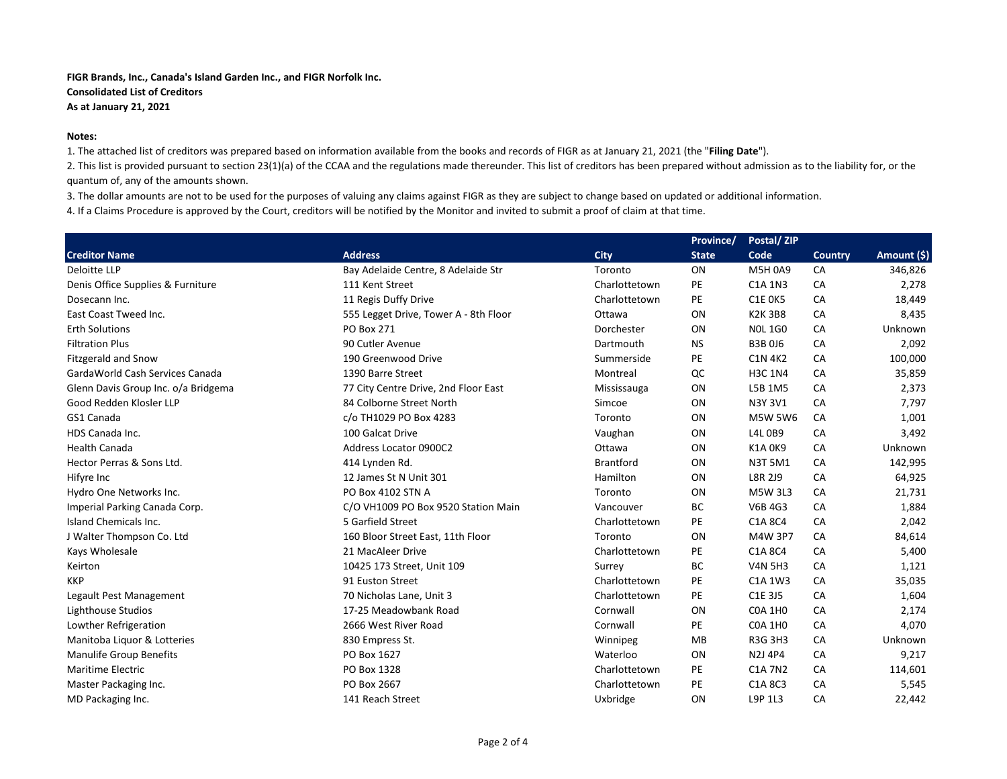## **Notes:**

1. The attached list of creditors was prepared based on information available from the books and records of FIGR as at January 21, 2021 (the "**Filing Date**").

2. This list is provided pursuant to section 23(1)(a) of the CCAA and the regulations made thereunder. This list of creditors has been prepared without admission as to the liability for, or the quantum of, any of the amounts shown.

3. The dollar amounts are not to be used for the purposes of valuing any claims against FIGR as they are subject to change based on updated or additional information.

|                                     |                                       |                  | Province/    | Postal/ZIP     |                |             |
|-------------------------------------|---------------------------------------|------------------|--------------|----------------|----------------|-------------|
| <b>Creditor Name</b>                | <b>Address</b>                        | <b>City</b>      | <b>State</b> | Code           | <b>Country</b> | Amount (\$) |
| Deloitte LLP                        | Bay Adelaide Centre, 8 Adelaide Str   | Toronto          | ON           | M5H 0A9        | CA             | 346,826     |
| Denis Office Supplies & Furniture   | 111 Kent Street                       | Charlottetown    | PE           | C1A 1N3        | CA             | 2,278       |
| Dosecann Inc.                       | 11 Regis Duffy Drive                  | Charlottetown    | PE           | <b>C1E 0K5</b> | CA             | 18,449      |
| East Coast Tweed Inc.               | 555 Legget Drive, Tower A - 8th Floor | Ottawa           | ON           | <b>K2K3B8</b>  | CA             | 8,435       |
| <b>Erth Solutions</b>               | PO Box 271                            | Dorchester       | ON           | <b>NOL 1GO</b> | CA             | Unknown     |
| <b>Filtration Plus</b>              | 90 Cutler Avenue                      | Dartmouth        | <b>NS</b>    | <b>B3B0J6</b>  | CA             | 2,092       |
| <b>Fitzgerald and Snow</b>          | 190 Greenwood Drive                   | Summerside       | PE           | <b>C1N 4K2</b> | CA             | 100,000     |
| GardaWorld Cash Services Canada     | 1390 Barre Street                     | Montreal         | QC           | <b>H3C 1N4</b> | CA             | 35,859      |
| Glenn Davis Group Inc. o/a Bridgema | 77 City Centre Drive, 2nd Floor East  | Mississauga      | ON           | L5B 1M5        | CA             | 2,373       |
| Good Redden Klosler LLP             | 84 Colborne Street North              | Simcoe           | ON           | N3Y 3V1        | CA             | 7,797       |
| GS1 Canada                          | c/o TH1029 PO Box 4283                | Toronto          | ON           | <b>M5W 5W6</b> | CA             | 1,001       |
| HDS Canada Inc.                     | 100 Galcat Drive                      | Vaughan          | ON           | <b>L4L 0B9</b> | CA             | 3,492       |
| <b>Health Canada</b>                | Address Locator 0900C2                | Ottawa           | ON           | <b>K1A 0K9</b> | CA             | Unknown     |
| Hector Perras & Sons Ltd.           | 414 Lynden Rd.                        | <b>Brantford</b> | ON           | <b>N3T 5M1</b> | CA             | 142,995     |
| Hifyre Inc                          | 12 James St N Unit 301                | Hamilton         | ON           | L8R 2J9        | CA             | 64,925      |
| Hydro One Networks Inc.             | PO Box 4102 STN A                     | Toronto          | ON           | M5W 3L3        | CA             | 21,731      |
| Imperial Parking Canada Corp.       | C/O VH1009 PO Box 9520 Station Main   | Vancouver        | <b>BC</b>    | V6B 4G3        | CA             | 1,884       |
| Island Chemicals Inc.               | 5 Garfield Street                     | Charlottetown    | PE           | C1A 8C4        | CA             | 2,042       |
| J Walter Thompson Co. Ltd           | 160 Bloor Street East, 11th Floor     | Toronto          | <b>ON</b>    | M4W 3P7        | CA             | 84,614      |
| Kays Wholesale                      | 21 MacAleer Drive                     | Charlottetown    | PE           | C1A 8C4        | CA             | 5,400       |
| Keirton                             | 10425 173 Street, Unit 109            | Surrey           | BC           | <b>V4N 5H3</b> | CA             | 1,121       |
| <b>KKP</b>                          | 91 Euston Street                      | Charlottetown    | PE           | C1A 1W3        | CA             | 35,035      |
| Legault Pest Management             | 70 Nicholas Lane, Unit 3              | Charlottetown    | PE           | C1E 3J5        | CA             | 1,604       |
| Lighthouse Studios                  | 17-25 Meadowbank Road                 | Cornwall         | ON           | <b>COA 1HO</b> | CA             | 2,174       |
| Lowther Refrigeration               | 2666 West River Road                  | Cornwall         | PE           | <b>COA 1HO</b> | CA             | 4,070       |
| Manitoba Liquor & Lotteries         | 830 Empress St.                       | Winnipeg         | MB           | R3G 3H3        | CA             | Unknown     |
| <b>Manulife Group Benefits</b>      | PO Box 1627                           | Waterloo         | ON           | N2J 4P4        | CA             | 9,217       |
| Maritime Electric                   | PO Box 1328                           | Charlottetown    | PE           | C1A 7N2        | CA             | 114,601     |
| Master Packaging Inc.               | PO Box 2667                           | Charlottetown    | PE           | C1A 8C3        | CA             | 5,545       |
| MD Packaging Inc.                   | 141 Reach Street                      | Uxbridge         | ON           | L9P 1L3        | CA             | 22,442      |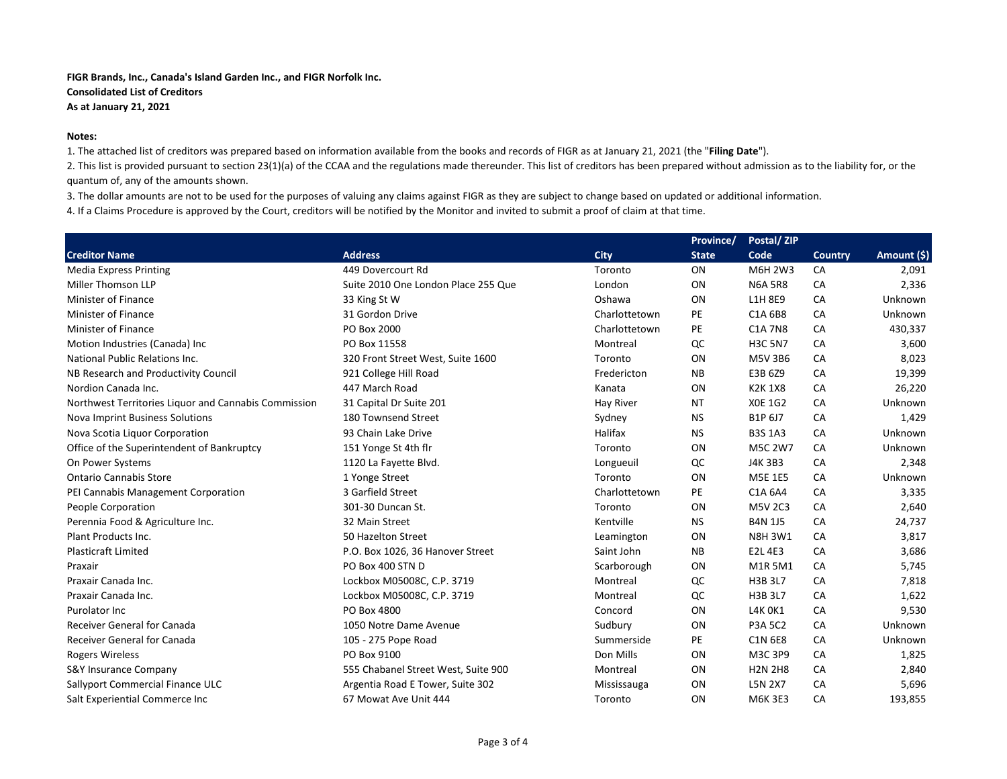## **Notes:**

1. The attached list of creditors was prepared based on information available from the books and records of FIGR as at January 21, 2021 (the "**Filing Date**").

2. This list is provided pursuant to section 23(1)(a) of the CCAA and the regulations made thereunder. This list of creditors has been prepared without admission as to the liability for, or the quantum of, any of the amounts shown.

3. The dollar amounts are not to be used for the purposes of valuing any claims against FIGR as they are subject to change based on updated or additional information.

|                                                      |                                     |               | Province/    | Postal/ZIP     |         |             |
|------------------------------------------------------|-------------------------------------|---------------|--------------|----------------|---------|-------------|
| <b>Creditor Name</b>                                 | <b>Address</b>                      | <b>City</b>   | <b>State</b> | Code           | Country | Amount (\$) |
| <b>Media Express Printing</b>                        | 449 Dovercourt Rd                   | Toronto       | ON           | M6H 2W3        | CA      | 2,091       |
| Miller Thomson LLP                                   | Suite 2010 One London Place 255 Que | London        | ON           | <b>N6A 5R8</b> | CA      | 2,336       |
| Minister of Finance                                  | 33 King St W                        | Oshawa        | ON           | L1H 8E9        | CA      | Unknown     |
| <b>Minister of Finance</b>                           | 31 Gordon Drive                     | Charlottetown | PE           | C1A 6B8        | CA      | Unknown     |
| <b>Minister of Finance</b>                           | PO Box 2000                         | Charlottetown | PE           | <b>C1A 7N8</b> | CA      | 430,337     |
| Motion Industries (Canada) Inc                       | PO Box 11558                        | Montreal      | QC           | <b>H3C 5N7</b> | CA      | 3,600       |
| National Public Relations Inc.                       | 320 Front Street West, Suite 1600   | Toronto       | ON           | M5V 3B6        | CA      | 8,023       |
| NB Research and Productivity Council                 | 921 College Hill Road               | Fredericton   | <b>NB</b>    | E3B 6Z9        | CA      | 19,399      |
| Nordion Canada Inc.                                  | 447 March Road                      | Kanata        | ON           | <b>K2K1X8</b>  | CA      | 26,220      |
| Northwest Territories Liguor and Cannabis Commission | 31 Capital Dr Suite 201             | Hay River     | <b>NT</b>    | <b>XOE 1G2</b> | CA      | Unknown     |
| Nova Imprint Business Solutions                      | 180 Townsend Street                 | Sydney        | <b>NS</b>    | B1P 6J7        | CA      | 1,429       |
| Nova Scotia Liquor Corporation                       | 93 Chain Lake Drive                 | Halifax       | <b>NS</b>    | <b>B3S 1A3</b> | CA      | Unknown     |
| Office of the Superintendent of Bankruptcy           | 151 Yonge St 4th flr                | Toronto       | ON           | M5C 2W7        | CA      | Unknown     |
| On Power Systems                                     | 1120 La Fayette Blvd.               | Longueuil     | QC           | J4K 3B3        | CA      | 2,348       |
| <b>Ontario Cannabis Store</b>                        | 1 Yonge Street                      | Toronto       | ON           | M5E 1E5        | CA      | Unknown     |
| PEI Cannabis Management Corporation                  | 3 Garfield Street                   | Charlottetown | PE           | C1A 6A4        | CA      | 3,335       |
| People Corporation                                   | 301-30 Duncan St.                   | Toronto       | ON           | <b>M5V 2C3</b> | CA      | 2,640       |
| Perennia Food & Agriculture Inc.                     | 32 Main Street                      | Kentville     | <b>NS</b>    | <b>B4N 1J5</b> | CA      | 24,737      |
| Plant Products Inc.                                  | 50 Hazelton Street                  | Leamington    | ON           | <b>N8H 3W1</b> | CA      | 3,817       |
| <b>Plasticraft Limited</b>                           | P.O. Box 1026, 36 Hanover Street    | Saint John    | NB           | E2L 4E3        | CA      | 3,686       |
| Praxair                                              | PO Box 400 STN D                    | Scarborough   | ON           | M1R 5M1        | CA      | 5,745       |
| Praxair Canada Inc.                                  | Lockbox M05008C, C.P. 3719          | Montreal      | QC           | <b>H3B 3L7</b> | CA      | 7,818       |
| Praxair Canada Inc.                                  | Lockbox M05008C, C.P. 3719          | Montreal      | QC           | <b>H3B 3L7</b> | CA      | 1,622       |
| Purolator Inc                                        | PO Box 4800                         | Concord       | ON           | <b>L4K OK1</b> | CA      | 9,530       |
| <b>Receiver General for Canada</b>                   | 1050 Notre Dame Avenue              | Sudbury       | ON           | <b>P3A 5C2</b> | CA      | Unknown     |
| Receiver General for Canada                          | 105 - 275 Pope Road                 | Summerside    | PE           | <b>C1N 6E8</b> | CA      | Unknown     |
| <b>Rogers Wireless</b>                               | PO Box 9100                         | Don Mills     | ON           | M3C 3P9        | CA      | 1,825       |
| <b>S&amp;Y Insurance Company</b>                     | 555 Chabanel Street West, Suite 900 | Montreal      | ON           | <b>H2N 2H8</b> | CA      | 2,840       |
| Sallyport Commercial Finance ULC                     | Argentia Road E Tower, Suite 302    | Mississauga   | ON           | <b>L5N 2X7</b> | CA      | 5,696       |
| Salt Experiential Commerce Inc                       | 67 Mowat Ave Unit 444               | Toronto       | ON           | M6K 3E3        | CA      | 193,855     |